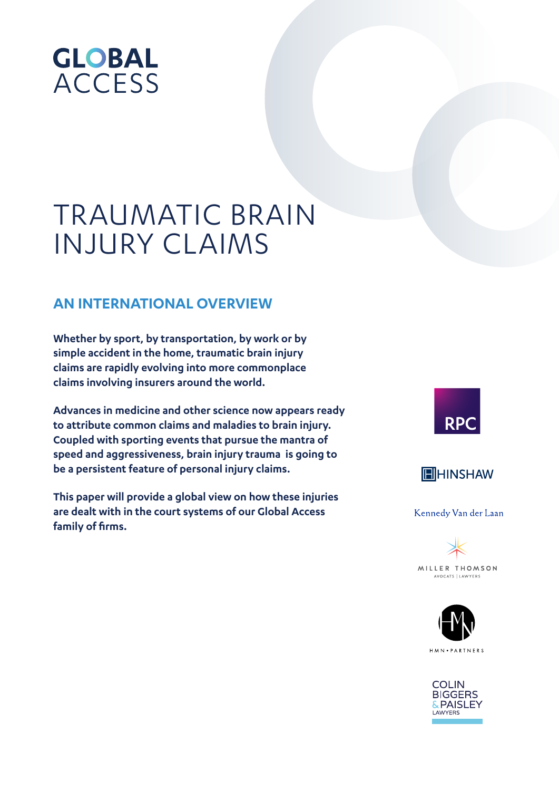# **GLOBAL ACCESS**

# TRAUMATIC BRAIN INJURY CLAIMS

# **AN INTERNATIONAL OVERVIEW**

**Whether by sport, by transportation, by work or by simple accident in the home, traumatic brain injury claims are rapidly evolving into more commonplace claims involving insurers around the world.**

**Advances in medicine and other science now appears ready to attribute common claims and maladies to brain injury. Coupled with sporting events that pursue the mantra of speed and aggressiveness, brain injury trauma is going to be a persistent feature of personal injury claims.**

**This paper will provide a global view on how these injuries are dealt with in the court systems of our Global Access family of firms.**





Kennedy Van der Laan





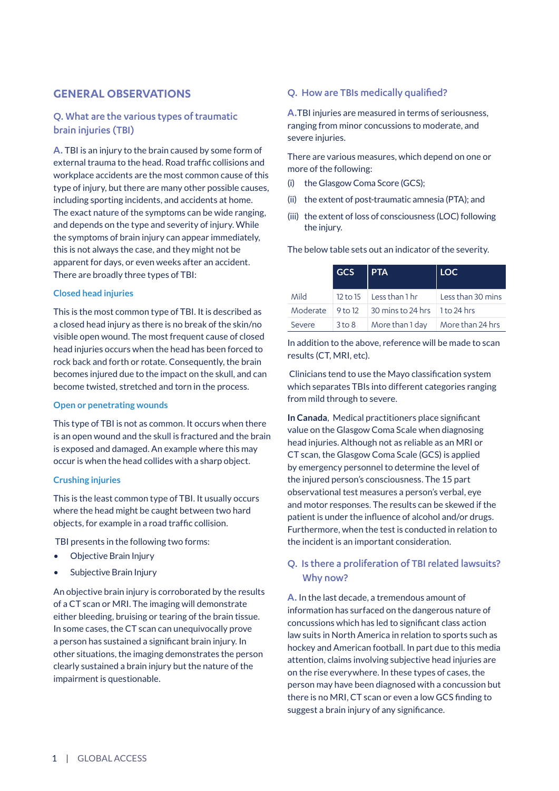## **GENERAL OBSERVATIONS**

# Q. What are the various types of traumatic brain injuries (TBI)

A. TBI is an injury to the brain caused by some form of external trauma to the head. Road traffic collisions and workplace accidents are the most common cause of this type of injury, but there are many other possible causes, including sporting incidents, and accidents at home. The exact nature of the symptoms can be wide ranging, and depends on the type and severity of injury. While the symptoms of brain injury can appear immediately, this is not always the case, and they might not be apparent for days, or even weeks after an accident. There are broadly three types of TBI:

#### **Closed head injuries**

This is the most common type of TBI. It is described as a closed head injury as there is no break of the skin/no visible open wound. The most frequent cause of closed head injuries occurs when the head has been forced to rock back and forth or rotate. Consequently, the brain becomes injured due to the impact on the skull, and can become twisted, stretched and torn in the process.

#### **Open or penetrating wounds**

This type of TBI is not as common. It occurs when there is an open wound and the skull is fractured and the brain is exposed and damaged. An example where this may occur is when the head collides with a sharp object.

#### **Crushing injuries**

This is the least common type of TBI. It usually occurs where the head might be caught between two hard objects, for example in a road traffic collision.

TBI presents in the following two forms:

- Objective Brain Injury
- Subjective Brain Injury

An objective brain injury is corroborated by the results of a CT scan or MRI. The imaging will demonstrate either bleeding, bruising or tearing of the brain tissue. In some cases, the CT scan can unequivocally prove a person has sustained a significant brain injury. In other situations, the imaging demonstrates the person clearly sustained a brain injury but the nature of the impairment is questionable.

## Q. How are TBIs medically qualified?

A.TBI injuries are measured in terms of seriousness, ranging from minor concussions to moderate, and severe injuries.

There are various measures, which depend on one or more of the following:

- (i) the Glasgow Coma Score (GCS);
- (ii) the extent of post-traumatic amnesia (PTA); and
- (iii) the extent of loss of consciousness (LOC) following the injury.

|        | $GCS$   PTA |                                                                                           | <b>LOC</b> |
|--------|-------------|-------------------------------------------------------------------------------------------|------------|
| Mild   |             | 12 to 15 Less than 1 hr Less than 30 mins                                                 |            |
|        |             | Moderate $\left  9 \text{ to } 12 \right  30 \text{ mins to } 24 \text{ hrs}$ 1 to 24 hrs |            |
| Severe |             | 3 to 8 More than 1 day More than 24 hrs                                                   |            |

The below table sets out an indicator of the severity.

In addition to the above, reference will be made to scan results (CT, MRI, etc).

 Clinicians tend to use the Mayo classification system which separates TBIs into different categories ranging from mild through to severe.

**In Canada**, Medical practitioners place significant value on the Glasgow Coma Scale when diagnosing head injuries. Although not as reliable as an MRI or CT scan, the Glasgow Coma Scale (GCS) is applied by emergency personnel to determine the level of the injured person's consciousness. The 15 part observational test measures a person's verbal, eye and motor responses. The results can be skewed if the patient is under the influence of alcohol and/or drugs. Furthermore, when the test is conducted in relation to the incident is an important consideration.

# Q. Is there a proliferation of TBI related lawsuits? Why now?

A. In the last decade, a tremendous amount of information has surfaced on the dangerous nature of concussions which has led to significant class action law suits in North America in relation to sports such as hockey and American football. In part due to this media attention, claims involving subjective head injuries are on the rise everywhere. In these types of cases, the person may have been diagnosed with a concussion but there is no MRI, CT scan or even a low GCS finding to suggest a brain injury of any significance.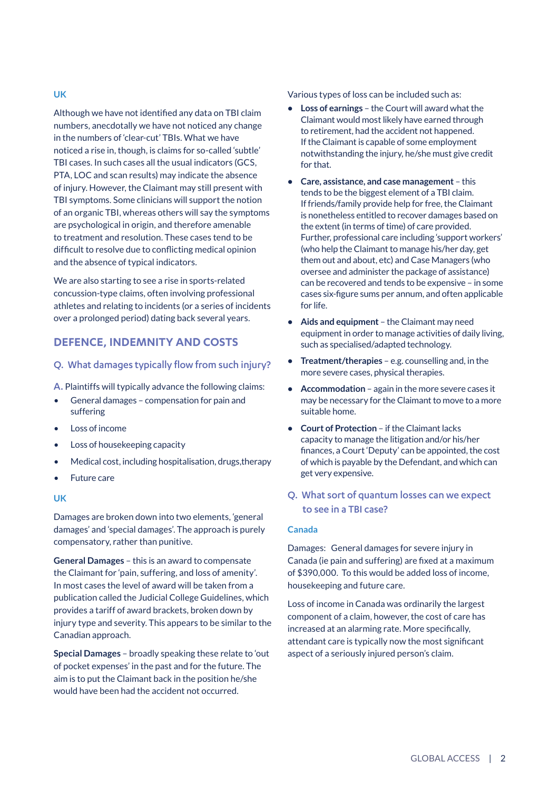Although we have not identified any data on TBI claim numbers, anecdotally we have not noticed any change in the numbers of 'clear-cut' TBIs. What we have noticed a rise in, though, is claims for so-called 'subtle' TBI cases. In such cases all the usual indicators (GCS, PTA, LOC and scan results) may indicate the absence of injury. However, the Claimant may still present with TBI symptoms. Some clinicians will support the notion of an organic TBI, whereas others will say the symptoms are psychological in origin, and therefore amenable to treatment and resolution. These cases tend to be difficult to resolve due to conflicting medical opinion and the absence of typical indicators.

We are also starting to see a rise in sports-related concussion-type claims, often involving professional athletes and relating to incidents (or a series of incidents over a prolonged period) dating back several years.

# **DEFENCE, INDEMNITY AND COSTS**

### Q. What damages typically flow from such injury?

A. Plaintiffs will typically advance the following claims:

- General damages compensation for pain and suffering
- Loss of income
- Loss of housekeeping capacity
- Medical cost, including hospitalisation, drugs,therapy
- Future care

#### **UK**

Damages are broken down into two elements, 'general damages' and 'special damages'. The approach is purely compensatory, rather than punitive.

**General Damages** – this is an award to compensate the Claimant for 'pain, suffering, and loss of amenity'. In most cases the level of award will be taken from a publication called the Judicial College Guidelines, which provides a tariff of award brackets, broken down by injury type and severity. This appears to be similar to the Canadian approach.

**Special Damages** – broadly speaking these relate to 'out of pocket expenses' in the past and for the future. The aim is to put the Claimant back in the position he/she would have been had the accident not occurred.

Various types of loss can be included such as:

- **• Loss of earnings** the Court will award what the Claimant would most likely have earned through to retirement, had the accident not happened. If the Claimant is capable of some employment notwithstanding the injury, he/she must give credit for that.
- **• Care, assistance, and case management**  this tends to be the biggest element of a TBI claim. If friends/family provide help for free, the Claimant is nonetheless entitled to recover damages based on the extent (in terms of time) of care provided. Further, professional care including 'support workers' (who help the Claimant to manage his/her day, get them out and about, etc) and Case Managers (who oversee and administer the package of assistance) can be recovered and tends to be expensive – in some cases six-figure sums per annum, and often applicable for life.
- **• Aids and equipment** the Claimant may need equipment in order to manage activities of daily living, such as specialised/adapted technology.
- **• Treatment/therapies**  e.g. counselling and, in the more severe cases, physical therapies.
- **• Accommodation** again in the more severe cases it may be necessary for the Claimant to move to a more suitable home.
- **• Court of Protection** if the Claimant lacks capacity to manage the litigation and/or his/her finances, a Court 'Deputy' can be appointed, the cost of which is payable by the Defendant, and which can get very expensive.
- Q. What sort of quantum losses can we expect to see in a TBI case?

#### **Canada**

Damages: General damages for severe injury in Canada (ie pain and suffering) are fixed at a maximum of \$390,000. To this would be added loss of income, housekeeping and future care.

Loss of income in Canada was ordinarily the largest component of a claim, however, the cost of care has increased at an alarming rate. More specifically, attendant care is typically now the most significant aspect of a seriously injured person's claim.

## **UK**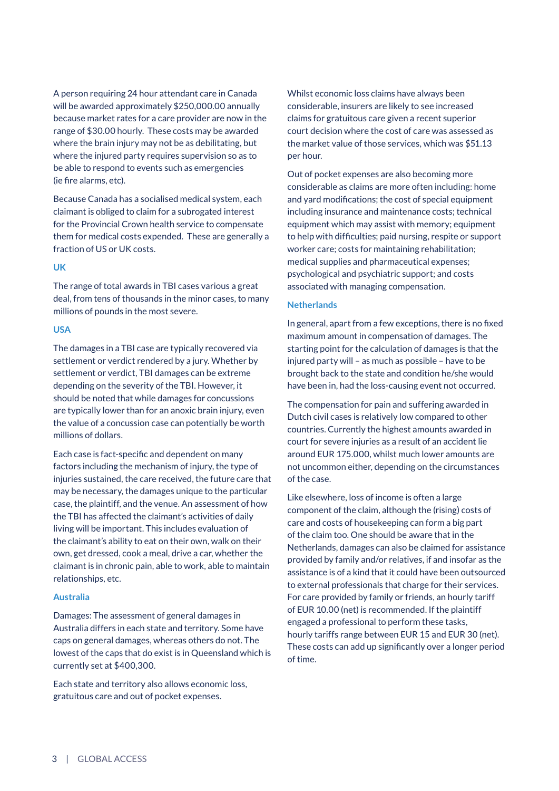A person requiring 24 hour attendant care in Canada will be awarded approximately \$250,000.00 annually because market rates for a care provider are now in the range of \$30.00 hourly. These costs may be awarded where the brain injury may not be as debilitating, but where the injured party requires supervision so as to be able to respond to events such as emergencies (ie fire alarms, etc).

Because Canada has a socialised medical system, each claimant is obliged to claim for a subrogated interest for the Provincial Crown health service to compensate them for medical costs expended. These are generally a fraction of US or UK costs.

#### **UK**

The range of total awards in TBI cases various a great deal, from tens of thousands in the minor cases, to many millions of pounds in the most severe.

#### **USA**

The damages in a TBI case are typically recovered via settlement or verdict rendered by a jury. Whether by settlement or verdict, TBI damages can be extreme depending on the severity of the TBI. However, it should be noted that while damages for concussions are typically lower than for an anoxic brain injury, even the value of a concussion case can potentially be worth millions of dollars.

Each case is fact-specific and dependent on many factors including the mechanism of injury, the type of injuries sustained, the care received, the future care that may be necessary, the damages unique to the particular case, the plaintiff, and the venue. An assessment of how the TBI has affected the claimant's activities of daily living will be important. This includes evaluation of the claimant's ability to eat on their own, walk on their own, get dressed, cook a meal, drive a car, whether the claimant is in chronic pain, able to work, able to maintain relationships, etc.

#### **Australia**

Damages: The assessment of general damages in Australia differs in each state and territory. Some have caps on general damages, whereas others do not. The lowest of the caps that do exist is in Queensland which is currently set at \$400,300.

Each state and territory also allows economic loss, gratuitous care and out of pocket expenses.

Whilst economic loss claims have always been considerable, insurers are likely to see increased claims for gratuitous care given a recent superior court decision where the cost of care was assessed as the market value of those services, which was \$51.13 per hour.

Out of pocket expenses are also becoming more considerable as claims are more often including: home and yard modifications; the cost of special equipment including insurance and maintenance costs; technical equipment which may assist with memory; equipment to help with difficulties; paid nursing, respite or support worker care; costs for maintaining rehabilitation; medical supplies and pharmaceutical expenses; psychological and psychiatric support; and costs associated with managing compensation.

#### **Netherlands**

In general, apart from a few exceptions, there is no fixed maximum amount in compensation of damages. The starting point for the calculation of damages is that the injured party will – as much as possible – have to be brought back to the state and condition he/she would have been in, had the loss-causing event not occurred.

The compensation for pain and suffering awarded in Dutch civil cases is relatively low compared to other countries. Currently the highest amounts awarded in court for severe injuries as a result of an accident lie around EUR 175.000, whilst much lower amounts are not uncommon either, depending on the circumstances of the case.

Like elsewhere, loss of income is often a large component of the claim, although the (rising) costs of care and costs of housekeeping can form a big part of the claim too. One should be aware that in the Netherlands, damages can also be claimed for assistance provided by family and/or relatives, if and insofar as the assistance is of a kind that it could have been outsourced to external professionals that charge for their services. For care provided by family or friends, an hourly tariff of EUR 10.00 (net) is recommended. If the plaintiff engaged a professional to perform these tasks, hourly tariffs range between EUR 15 and EUR 30 (net). These costs can add up significantly over a longer period of time.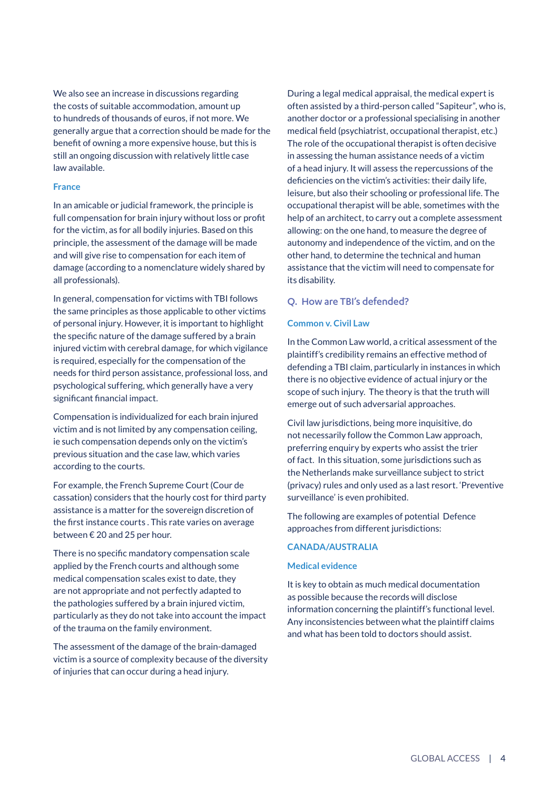We also see an increase in discussions regarding the costs of suitable accommodation, amount up to hundreds of thousands of euros, if not more. We generally argue that a correction should be made for the benefit of owning a more expensive house, but this is still an ongoing discussion with relatively little case law available.

#### **France**

In an amicable or judicial framework, the principle is full compensation for brain injury without loss or profit for the victim, as for all bodily injuries. Based on this principle, the assessment of the damage will be made and will give rise to compensation for each item of damage (according to a nomenclature widely shared by all professionals).

In general, compensation for victims with TBI follows the same principles as those applicable to other victims of personal injury. However, it is important to highlight the specific nature of the damage suffered by a brain injured victim with cerebral damage, for which vigilance is required, especially for the compensation of the needs for third person assistance, professional loss, and psychological suffering, which generally have a very significant financial impact.

Compensation is individualized for each brain injured victim and is not limited by any compensation ceiling, ie such compensation depends only on the victim's previous situation and the case law, which varies according to the courts.

For example, the French Supreme Court (Cour de cassation) considers that the hourly cost for third party assistance is a matter for the sovereign discretion of the first instance courts . This rate varies on average between € 20 and 25 per hour.

There is no specific mandatory compensation scale applied by the French courts and although some medical compensation scales exist to date, they are not appropriate and not perfectly adapted to the pathologies suffered by a brain injured victim, particularly as they do not take into account the impact of the trauma on the family environment.

The assessment of the damage of the brain-damaged victim is a source of complexity because of the diversity of injuries that can occur during a head injury.

During a legal medical appraisal, the medical expert is often assisted by a third-person called "Sapiteur", who is, another doctor or a professional specialising in another medical field (psychiatrist, occupational therapist, etc.) The role of the occupational therapist is often decisive in assessing the human assistance needs of a victim of a head injury. It will assess the repercussions of the deficiencies on the victim's activities: their daily life, leisure, but also their schooling or professional life. The occupational therapist will be able, sometimes with the help of an architect, to carry out a complete assessment allowing: on the one hand, to measure the degree of autonomy and independence of the victim, and on the other hand, to determine the technical and human assistance that the victim will need to compensate for its disability.

#### Q. How are TBI's defended?

#### **Common v. Civil Law**

In the Common Law world, a critical assessment of the plaintiff's credibility remains an effective method of defending a TBI claim, particularly in instances in which there is no objective evidence of actual injury or the scope of such injury. The theory is that the truth will emerge out of such adversarial approaches.

Civil law jurisdictions, being more inquisitive, do not necessarily follow the Common Law approach, preferring enquiry by experts who assist the trier of fact. In this situation, some jurisdictions such as the Netherlands make surveillance subject to strict (privacy) rules and only used as a last resort. 'Preventive surveillance' is even prohibited.

The following are examples of potential Defence approaches from different jurisdictions:

#### **CANADA/AUSTRALIA**

#### **Medical evidence**

It is key to obtain as much medical documentation as possible because the records will disclose information concerning the plaintiff's functional level. Any inconsistencies between what the plaintiff claims and what has been told to doctors should assist.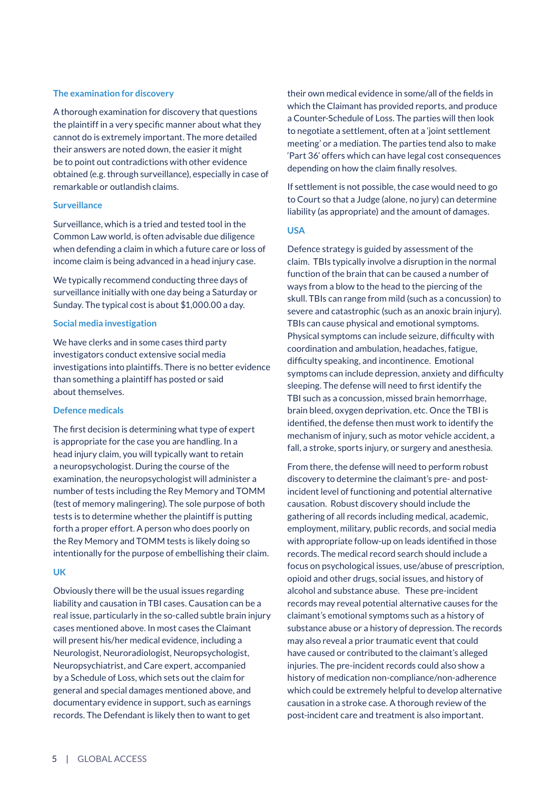#### **The examination for discovery**

A thorough examination for discovery that questions the plaintiff in a very specific manner about what they cannot do is extremely important. The more detailed their answers are noted down, the easier it might be to point out contradictions with other evidence obtained (e.g. through surveillance), especially in case of remarkable or outlandish claims.

#### **Surveillance**

Surveillance, which is a tried and tested tool in the Common Law world, is often advisable due diligence when defending a claim in which a future care or loss of income claim is being advanced in a head injury case.

We typically recommend conducting three days of surveillance initially with one day being a Saturday or Sunday. The typical cost is about \$1,000.00 a day.

#### **Social media investigation**

We have clerks and in some cases third party investigators conduct extensive social media investigations into plaintiffs. There is no better evidence than something a plaintiff has posted or said about themselves.

#### **Defence medicals**

The first decision is determining what type of expert is appropriate for the case you are handling. In a head injury claim, you will typically want to retain a neuropsychologist. During the course of the examination, the neuropsychologist will administer a number of tests including the Rey Memory and TOMM (test of memory malingering). The sole purpose of both tests is to determine whether the plaintiff is putting forth a proper effort. A person who does poorly on the Rey Memory and TOMM tests is likely doing so intentionally for the purpose of embellishing their claim.

#### **UK**

Obviously there will be the usual issues regarding liability and causation in TBI cases. Causation can be a real issue, particularly in the so-called subtle brain injury cases mentioned above. In most cases the Claimant will present his/her medical evidence, including a Neurologist, Neuroradiologist, Neuropsychologist, Neuropsychiatrist, and Care expert, accompanied by a Schedule of Loss, which sets out the claim for general and special damages mentioned above, and documentary evidence in support, such as earnings records. The Defendant is likely then to want to get

their own medical evidence in some/all of the fields in which the Claimant has provided reports, and produce a Counter-Schedule of Loss. The parties will then look to negotiate a settlement, often at a 'joint settlement meeting' or a mediation. The parties tend also to make 'Part 36' offers which can have legal cost consequences depending on how the claim finally resolves.

If settlement is not possible, the case would need to go to Court so that a Judge (alone, no jury) can determine liability (as appropriate) and the amount of damages.

#### **USA**

Defence strategy is guided by assessment of the claim. TBIs typically involve a disruption in the normal function of the brain that can be caused a number of ways from a blow to the head to the piercing of the skull. TBIs can range from mild (such as a concussion) to severe and catastrophic (such as an anoxic brain injury). TBIs can cause physical and emotional symptoms. Physical symptoms can include seizure, difficulty with coordination and ambulation, headaches, fatigue, difficulty speaking, and incontinence. Emotional symptoms can include depression, anxiety and difficulty sleeping. The defense will need to first identify the TBI such as a concussion, missed brain hemorrhage, brain bleed, oxygen deprivation, etc. Once the TBI is identified, the defense then must work to identify the mechanism of injury, such as motor vehicle accident, a fall, a stroke, sports injury, or surgery and anesthesia.

From there, the defense will need to perform robust discovery to determine the claimant's pre- and postincident level of functioning and potential alternative causation. Robust discovery should include the gathering of all records including medical, academic, employment, military, public records, and social media with appropriate follow-up on leads identified in those records. The medical record search should include a focus on psychological issues, use/abuse of prescription, opioid and other drugs, social issues, and history of alcohol and substance abuse. These pre-incident records may reveal potential alternative causes for the claimant's emotional symptoms such as a history of substance abuse or a history of depression. The records may also reveal a prior traumatic event that could have caused or contributed to the claimant's alleged injuries. The pre-incident records could also show a history of medication non-compliance/non-adherence which could be extremely helpful to develop alternative causation in a stroke case. A thorough review of the post-incident care and treatment is also important.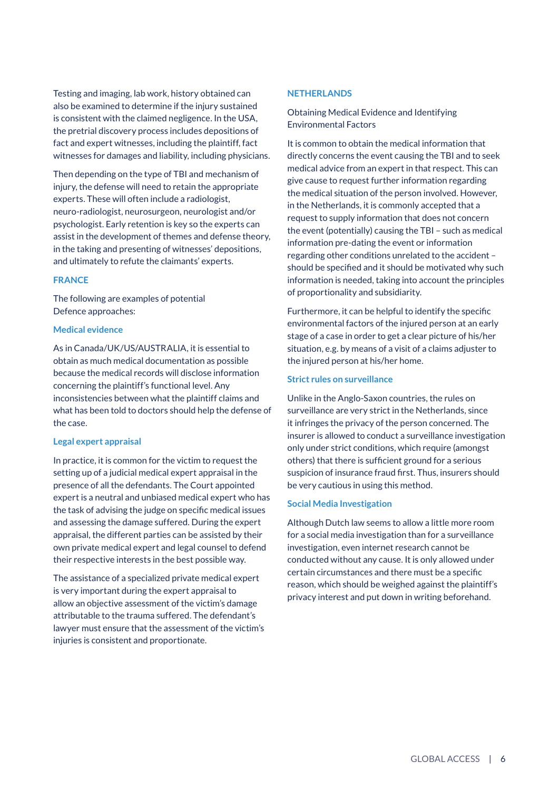Testing and imaging, lab work, history obtained can also be examined to determine if the injury sustained is consistent with the claimed negligence. In the USA, the pretrial discovery process includes depositions of fact and expert witnesses, including the plaintiff, fact witnesses for damages and liability, including physicians.

Then depending on the type of TBI and mechanism of injury, the defense will need to retain the appropriate experts. These will often include a radiologist, neuro-radiologist, neurosurgeon, neurologist and/or psychologist. Early retention is key so the experts can assist in the development of themes and defense theory, in the taking and presenting of witnesses' depositions, and ultimately to refute the claimants' experts.

#### **FRANCE**

The following are examples of potential Defence approaches:

#### **Medical evidence**

As in Canada/UK/US/AUSTRALIA, it is essential to obtain as much medical documentation as possible because the medical records will disclose information concerning the plaintiff's functional level. Any inconsistencies between what the plaintiff claims and what has been told to doctors should help the defense of the case.

#### **Legal expert appraisal**

In practice, it is common for the victim to request the setting up of a judicial medical expert appraisal in the presence of all the defendants. The Court appointed expert is a neutral and unbiased medical expert who has the task of advising the judge on specific medical issues and assessing the damage suffered. During the expert appraisal, the different parties can be assisted by their own private medical expert and legal counsel to defend their respective interests in the best possible way.

The assistance of a specialized private medical expert is very important during the expert appraisal to allow an objective assessment of the victim's damage attributable to the trauma suffered. The defendant's lawyer must ensure that the assessment of the victim's injuries is consistent and proportionate.

#### **NETHERLANDS**

Obtaining Medical Evidence and Identifying Environmental Factors

It is common to obtain the medical information that directly concerns the event causing the TBI and to seek medical advice from an expert in that respect. This can give cause to request further information regarding the medical situation of the person involved. However, in the Netherlands, it is commonly accepted that a request to supply information that does not concern the event (potentially) causing the TBI – such as medical information pre-dating the event or information regarding other conditions unrelated to the accident – should be specified and it should be motivated why such information is needed, taking into account the principles of proportionality and subsidiarity.

Furthermore, it can be helpful to identify the specific environmental factors of the injured person at an early stage of a case in order to get a clear picture of his/her situation, e.g. by means of a visit of a claims adjuster to the injured person at his/her home.

#### **Strict rules on surveillance**

Unlike in the Anglo-Saxon countries, the rules on surveillance are very strict in the Netherlands, since it infringes the privacy of the person concerned. The insurer is allowed to conduct a surveillance investigation only under strict conditions, which require (amongst others) that there is sufficient ground for a serious suspicion of insurance fraud first. Thus, insurers should be very cautious in using this method.

#### **Social Media Investigation**

Although Dutch law seems to allow a little more room for a social media investigation than for a surveillance investigation, even internet research cannot be conducted without any cause. It is only allowed under certain circumstances and there must be a specific reason, which should be weighed against the plaintiff's privacy interest and put down in writing beforehand.